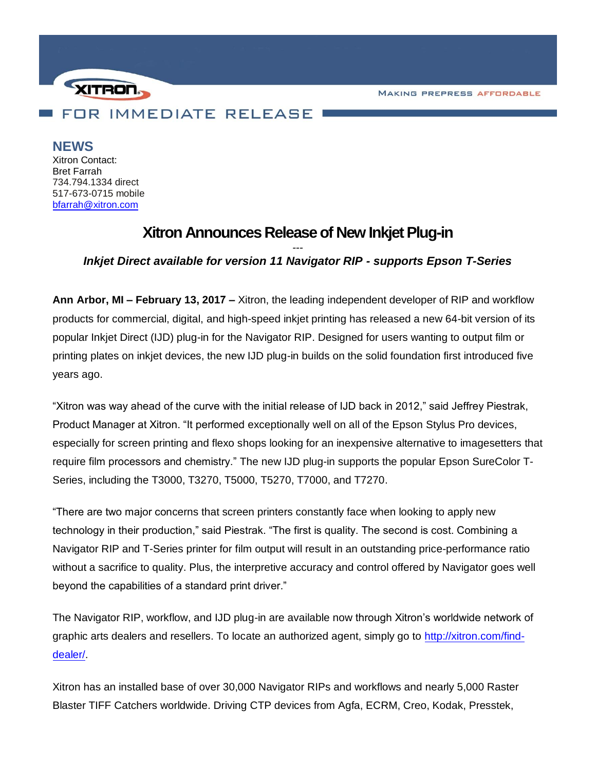**MAKING PREPRESS AFFORDABLE** 



## **NEWS**

Xitron Contact: Bret Farrah 734.794.1334 direct 517-673-0715 mobile [bfarrah@xitron.com](mailto:bfarrah@xitron.com)

# **Xitron Announces Release of New Inkjet Plug-in**

## *--- Inkjet Direct available for version 11 Navigator RIP - supports Epson T-Series*

**Ann Arbor, MI – February 13, 2017 –** Xitron, the leading independent developer of RIP and workflow products for commercial, digital, and high-speed inkjet printing has released a new 64-bit version of its popular Inkjet Direct (IJD) plug-in for the Navigator RIP. Designed for users wanting to output film or printing plates on inkjet devices, the new IJD plug-in builds on the solid foundation first introduced five years ago.

"Xitron was way ahead of the curve with the initial release of IJD back in 2012," said Jeffrey Piestrak, Product Manager at Xitron. "It performed exceptionally well on all of the Epson Stylus Pro devices, especially for screen printing and flexo shops looking for an inexpensive alternative to imagesetters that require film processors and chemistry." The new IJD plug-in supports the popular Epson SureColor T-Series, including the T3000, T3270, T5000, T5270, T7000, and T7270.

"There are two major concerns that screen printers constantly face when looking to apply new technology in their production," said Piestrak. "The first is quality. The second is cost. Combining a Navigator RIP and T-Series printer for film output will result in an outstanding price-performance ratio without a sacrifice to quality. Plus, the interpretive accuracy and control offered by Navigator goes well beyond the capabilities of a standard print driver."

The Navigator RIP, workflow, and IJD plug-in are available now through Xitron's worldwide network of graphic arts dealers and resellers. To locate an authorized agent, simply go to [http://xitron.com/find](http://xitron.com/find-dealer/)[dealer/.](http://xitron.com/find-dealer/)

Xitron has an installed base of over 30,000 Navigator RIPs and workflows and nearly 5,000 Raster Blaster TIFF Catchers worldwide. Driving CTP devices from Agfa, ECRM, Creo, Kodak, Presstek,